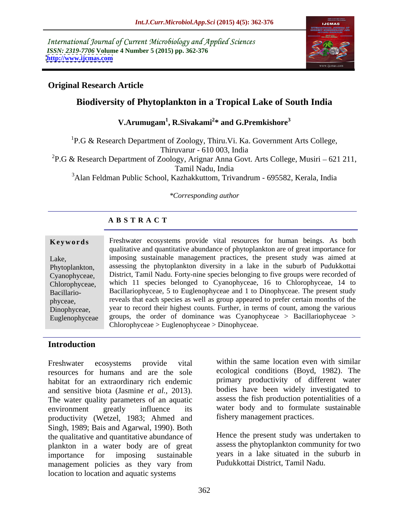International Journal of Current Microbiology and Applied Sciences *ISSN: 2319-7706* **Volume 4 Number 5 (2015) pp. 362-376 <http://www.ijcmas.com>**



## **Original Research Article**

# **Biodiversity of Phytoplankton in a Tropical Lake of South India**

**V.Arumugam<sup>1</sup> , R.Sivakami<sup>2</sup> \* and G.Premkishore<sup>3</sup>**

<sup>1</sup>P.G & Research Department of Zoology, Thiru.Vi. Ka. Government Arts College, Thiruvarur - 610 003, India

<sup>2</sup>P.G & Research Department of Zoology, Arignar Anna Govt. Arts College, Musiri – 621 211,

Tamil Nadu, India

3Alan Feldman Public School, Kazhakkuttom, Trivandrum - 695582, Kerala, India

### *\*Corresponding author*

# **A B S T R A C T**

Euglenophyceae

**Keywords** Freshwater ecosystems provide vital resources for human beings. As both qualitative and quantitative abundance of phytoplankton are of great importance for Lake, imposing sustainable management practices, the present study was aimed at Phytoplankton, assessing the phytoplankton diversity in a lake in the suburb of Pudukkottai District, Tamil Nadu. Forty-nine species belonging to five groups were recorded of Cyanophyceae, which 11 species belonged to Cyanophyceae, 16 to Chlorophyceae, 14 to Chlorophyceae, Bacillario-<br>Bacillariophyceae, 5 to Euglenophyceae and 1 to Dinophyceae. The present study phyceae, reveals that each species as well as group appeared to prefer certain months of the Dinophyceae, year to record their highest counts. Further, in terms of count, among the various groups, the order of dominance was Cyanophyceae > Bacillariophyceae > Chlorophyceae > Euglenophyceae > Dinophyceae.

### **Introduction**

resources for humans and are the sole habitat for an extraordinary rich endemic and sensitive biota (Jasmine *et al.,* 2013). The water quality parameters of an aquatic environment greatly influence its water body and to formulate sustainable productivity (Wetzel, 1983; Ahmed and Singh, 1989; Bais and Agarwal, 1990). Both the qualitative and quantitative abundance of plankton in a water body are of great importance for imposing sustainable years in a lake situated in the suburb in management policies as they vary from location to location and aquatic systems

Freshwater ecosystems provide vital within the same location even with similar ecological conditions (Boyd, 1982). The primary productivity of different water bodies have been widely investigated to assess the fish production potentialities of a fishery management practices.

> Hence the present study was undertaken to assess the phytoplankton community for two Pudukkottai District, Tamil Nadu.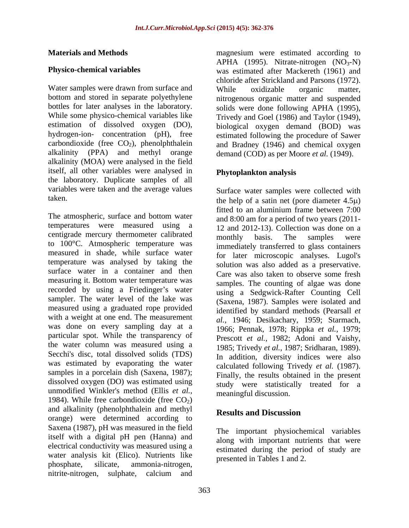Water samples were drawn from surface and while oxidizable organic matter. alkalinity (MOA) were analysed in the field itself, all other variables were analysed in the laboratory. Duplicate samples of all variables were taken and the average values

The atmospheric, surface and bottom water temperatures were measured using a centigrade mercury thermometer calibrated<br>monthly basis. The samples were to 100°C. Atmospheric temperature was measured in shade, while surface water temperature was analysed by taking the solution was also added as a preservative. surface water in a container and then measuring it. Bottom water temperature was recorded by using a Friedinger's water sampler. The water level of the lake was measured using a graduated rope provided with a weight at one end. The measurement  $al., 1946; Desikachary, 1959; Starmach,$ was done on every sampling day at a 1966; Pennak, 1978; Rippka et al., 1979; particular spot. While the transparency of the water column was measured using a Secchi's disc, total dissolved solids (TDS) was estimated by evaporating the water samples in a porcelain dish (Saxena, 1987); dissolved oxygen (DO) was estimated using unmodified Winkler's method (Ellis *et al.,* 1984). While free carbondioxide (free  $CO<sub>2</sub>$ ) and alkalinity (phenolphthalein and methyl orange) were determined according to Saxena (1987), pH was measured in the field itself with a digital pH pen (Hanna) and electrical conductivity was measured using a water analysis kit (Elico). Nutrients like phosphate, silicate, ammonia-nitrogen, nitrite-nitrogen, sulphate, calcium and

**Materials and Methods magnesium** were estimated according to **Physico-chemical variables**  was estimated after Mackereth (1961) and bottom and stored in separate polyethylene nitrogenous organic matter and suspended bottles for later analyses in the laboratory. solids were done following APHA (1995), While some physico-chemical variables like Trivedy and Goel (1986) and Taylor (1949), estimation of dissolved oxygen (DO), biological oxygen demand (BOD) was hydrogen-ion- concentration (pH), free estimated following the procedure of Sawer carbondioxide (free  $CO<sub>2</sub>$ ), phenolphthalein and Bradney (1946) and chemical oxygen alkalinity (PPA) and methyl orange demand (COD) as per Moore *et al.* (1949). APHA (1995). Nitrate-nitrogen  $(NO<sub>3</sub>-N)$ chloride after Strickland and Parsons (1972). While oxidizable organic matter,

### **Phytoplankton analysis**

taken.  $\phi$  the help of a satin net (pore diameter  $4.5\mu$ ) Surface water samples were collected with fitted to an aluminium frame between 7:00 and 8:00 am for a period of two years (2011- 12 and 2012-13). Collection was done on a monthly basis. The samples were immediately transferred to glass containers for later microscopic analyses. Lugol's Care was also taken to observe some fresh samples. The counting of algae was done using a Sedgwick-Rafter Counting Cell (Saxena, 1987). Samples were isolated and identified by standard methods (Pearsall *et al.,* 1946; Desikachary, 1959; Starmach,1966; Pennak, 1978; Rippka *et al.,* 1979; Prescott *et al.,* 1982; Adoni and Vaishy, 1985; Trivedy *et al.,* 1987; Sridharan, 1989). In addition, diversity indices were also calculated following Trivedy *et al.* (1987). Finally, the results obtained in the present study were statistically treated for a meaningful discussion.

### **Results and Discussion**

The important physiochemical variables along with important nutrients that were estimated during the period of study are presented in Tables 1 and 2.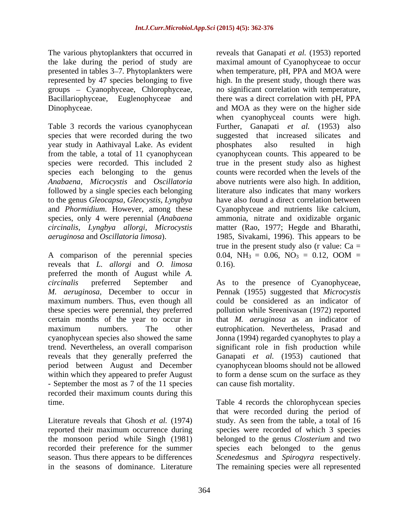groups - Cyanophyceae, Chlorophyceae,

Table 3 records the various cyanophycean Further, Ganapati *et al.* (1953) also year study in Aathivayal Lake. As evident species each belonging to the genus to the genus *Gleocapsa, Gleocystis, Lyngbya* 

A comparison of the perennial species 0.04,  $NH_3 = 0.06$ ,  $NO_3 = 0.12$ , OOM = reveals that *L. allorgi* and *O. limosa* preferred the month of August while *A. circinalis* preferred September and As to the presence of Cyanophyceae, *M. aeruginosa,* December to occur in Pennak (1955) suggested that *Microcystis* maximum numbers. Thus, even though all could be considered as an indicator of these species were perennial, they preferred certain months of the year to occur in that *M. aeruginosa* as an indicator of maximum numbers. The other eutrophication. Nevertheless, Prasad and cyanophycean species also showed the same Jonna (1994) regarded cyanophytes to play a trend. Nevertheless, an overall comparison significant role in fish production while reveals that they generally preferred the Ganapati *et al.* (1953) cautioned that period between August and December within which they appeared to prefer August to form a dense scum on the surface as they - September the most as 7 of the 11 species recorded their maximum counts during this

recorded their preference for the summer

The various phytoplankters that occurred in reveals that Ganapati*et al.* (1953) reported the lake during the period of study are maximal amount of Cyanophyceae to occur presented in tables 3–7. Phytoplankters were when temperature, pH, PPA and MOA were represented by 47 species belonging to five high. In the present study, though there was Bacillariophyceae, Euglenophyceae and there was a direct correlation with pH, PPA Dinophyceae. and MOA as they were on the higher side species that were recorded during the two suggested that increased silicates and from the table, a total of 11 cyanophycean cyanophycean counts. This appeared to be species were recorded. This included 2 true in the present study also as highest *Anabaena, Microcystis* and *Oscillatoria* above nutrients were also high. In addition, followed by a single species each belonging literature also indicates that many workers and *Phormidium*. However, among these Cyanophyceae and nutrients like calcium, species, only 4 were perennial (*Anabaena*  ammonia, nitrate and oxidizable organic *circinalis, Lyngbya allorgi, Microcystis* matter (Rao, 1977; Hegde and Bharathi, *aeruginosa* and *Oscillatoria limosa*). 1985, Sivakami, 1996). This appears to be no significant correlation with temperature, when cyanophyceal counts were high. Further, Ganapati *et al.* (1953) phosphates also resulted in high counts were recorded when the levels of the have also found a direct correlation between true in the present study also (r value:  $Ca =$ 0.04,  $NH_3 = 0.06$ ,  $NO_3 = 0.12$ ,  $OOM =$ 0.16).

> pollution while Sreenivasan (1972) reported cyanophycean blooms should not be allowed can cause fish mortality.

time. Table 4 records the chlorophycean species Literature reveals that Ghosh *et al.* (1974) study. As seen from the table, a total of 16 reported their maximum occurrence during species were recorded of which 3 species the monsoon period while Singh (1981) belonged to the genus *Closterium* and two season. Thus there appears to be differences *Scenedesmus* and *Spirogyra* respectively. in the seasons of dominance. Literature The remaining species were all representedthat were recorded during the period of species each belonged to the genus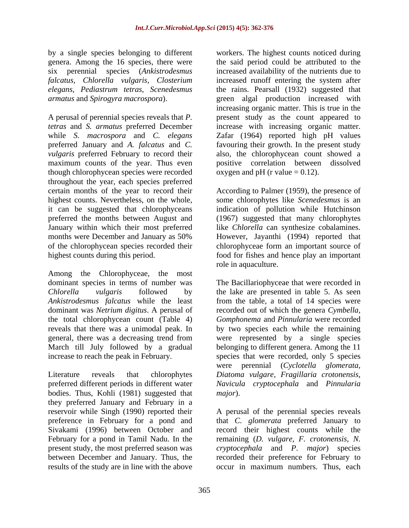by a single species belonging to different workers. The highest counts noticed during genera. Among the 16 species, there were

*vulgaris* preferred February to record their though chlorophycean species were recorded throughout the year, each species preferred

Among the Chlorophyceae, the most dominant species in terms of number was The Bacillariophyceae that were recorded in *Chlorella vulgaris* followed by the lake are presented in table 5. As seen *Ankistrodesmus falcatus* while the least from the table, a total of 14 species were dominant was *Netrium digitus*. A perusal of recorded out of which the genera *Cymbella*, the total chlorophycean count (Table 4) *Gomphonema* and *Pinnularia* were recorded reveals that there was a unimodal peak. In by two species each while the remaining general, there was a decreasing trend from were represented by a single species March till July followed by a gradual

bodies. Thus, Kohli (1981) suggested that *major*). they preferred January and February in a present study, the most preferred season was results of the study are in line with the above occur in maximum numbers. Thus, each

six perennial species (*Ankistrodesmus*  increased availability of the nutrients due to *falcatus, Chlorella vulgaris, Closterium* increased runoff entering the system after *elegans, Pediastrum tetras, Scenedesmus* the rains. Pearsall (1932) suggested that *armatus* and *Spirogyra macrospora*). green algal production increased with A perusal of perennial species reveals that *P.*  present study as the count appeared to *tetras* and *S. armatus* preferred December increase with increasing organic matter. while *S. macrospora* and *C. elegans* Zafar (1964) reported high pH values preferred January and *A. falcatus* and *C.*  favouring their growth. In the present study maximum counts of the year. Thus even positive correlation between dissolved the said period could be attributed to the increasing organic matter. This is true in the also, the chlorophycean count showed a oxygen and pH (r value  $= 0.12$ ).

certain months of the year to record their According to Palmer (1959), the presence of highest counts. Nevertheless, on the whole, some chlorophytes like *Scenedesmus* is an it can be suggested that chlorophyceans indication of pollution while Hutchinson preferred the months between August and (1967) suggested that many chlorophytes January within which their most preferred like *Chlorella* can synthesize cobalamines. months were December and January as 50% of the chlorophycean species recorded their chlorophyceae form an important source of highest counts during this period. food for fishes and hence play an important However, Jayanthi (1994) reported that role in aquaculture.

increase to reach the peak in February. species that were recorded, only 5 species Literature reveals that chlorophytes *Diatoma vulgare, Fragillaria crotonensis,* preferred different periods in different water *Navicula cryptocephala* and *Pinnularia* belonging to different genera. Among the 11 were perennial (*Cyclotella glomerata, major*).

reservoir while Singh (1990) reported their A perusal of the perennial species reveals preference in February for a pond and that *C. glomerata* preferred January to Sivakami (1996) between October and record their highest counts while the February for a pond in Tamil Nadu. In the remaining (*D. vulgare, F. crotonensis, N.* between December and January. Thus, the recorded their preference for February to *cryptocephala* and *P*. *major*) species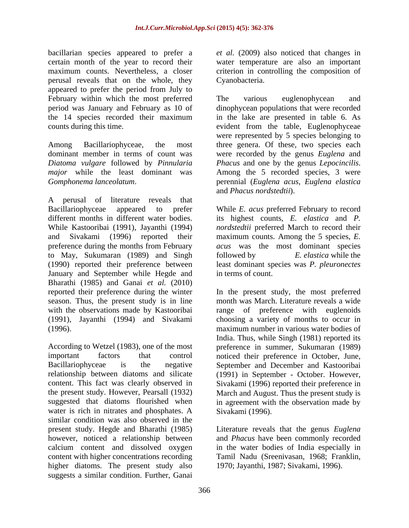bacillarian species appeared to prefer a *et al.* (2009) also noticed that changes in certain month of the year to record their maximum counts. Nevertheless, a closer criterion in controlling the composition of perusal reveals that on the whole, they appeared to prefer the period from July to February within which the most preferred The various euglenophycean and

*Diatoma vulgare* followed by *Pinnularia major* while the least dominant was Among the 5 recorded species, 3 were

A perusal of literature reveals that Bacillariophyceae appeared to prefer While *E. acus* preferred February to record different months in different water bodies. While Kastooribai (1991), Jayanthi (1994) *nordstedtii* preferred March to record their and Sivakami (1996) reported their maximum counts. Among the 5 species, *E.*  preference during the months from February *acus* was the most dominant species to May, Sukumaran (1989) and Singh followed by E. elastica while the (1990) reported their preference between least dominant species was *P. pleuronectes* January and September while Hegde and Bharathi (1985) and Ganai *et al.* (2010)

water is rich in nitrates and phosphates. A similar condition was also observed in the present study. Hegde and Bharathi (1985) Literature reveals that the genus *Euglena* however, noticed a relationship between and *Phacus* have been commonly recorded calcium content and dissolved oxygen in the water bodies of India especially in content with higher concentrations recording Tamil Nadu (Sreenivasan, 1968; Franklin, higher diatoms. The present study also suggests a similar condition. Further, Ganai

water temperature are also an important Cyanobacteria.

period was January and February as 10 of dinophycean populations that were recorded the 14 species recorded their maximum in the lake are presented in table 6. As counts during this time. evident from the table, Euglenophyceae Among Bacillariophyceae, the most three genera. Of these, two species each dominant member in terms of count was were recorded by the genus *Euglena* and *Gomphonema lanceolatum*. perennial (*Euglena acus, Euglena elastica* The various euglenophycean and were represented by 5 species belonging to *Phacus* and one by the genus *Lepocincilis*. Among the <sup>5</sup> recorded species, <sup>3</sup> were and *Phacus nordstedtii*).

> its highest counts, *E. elastica* and *P.* followed by *E. elastica* while the in terms of count.

reported their preference during the winter In the present study, the most preferred season. Thus, the present study is in line month was March. Literature reveals a wide with the observations made by Kastooribai range of preference with euglenoids (1991), Jayanthi (1994) and Sivakami choosing a variety of months to occur in (1996). maximum number in various water bodies of According to Wetzel (1983), one of the most preference in summer, Sukumaran (1989) important factors that control noticed their preference in October, June, Bacillariophyceae is the negative September and December and Kastooribai relationship between diatoms and silicate (1991) in September - October. However, content. This fact was clearly observed in Sivakami (1996) reported their preference in the present study. However, Pearsall (1932) March and August. Thus the present study is suggested that diatoms flourished when in agreement with the observation made by India. Thus, while Singh (1981) reported its Sivakami (1996).

1970; Jayanthi, 1987; Sivakami, 1996).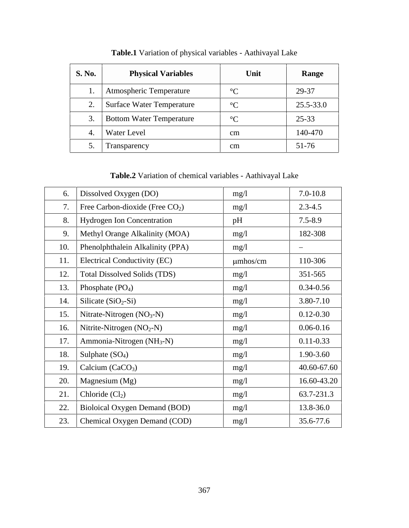| <b>S. No.</b> | <b>Physical Variables</b>    | Unit     | Range     |
|---------------|------------------------------|----------|-----------|
|               | Atmospheric Temperature      |          | 29-37     |
|               | 2. Surface Water Temperature | $\sim$   | 25.5-33.0 |
|               | Bottom Water Temperature     |          | 25-33     |
|               | <b>Water Level</b>           | $\rm cm$ | 140-470   |
|               | <b>Transparency</b>          | cm       | 51-76     |

**Table.1** Variation of physical variables - Aathivayal Lake

**Table.2** Variation of chemical variables - Aathivayal Lake

| 6. Dissolved Oxygen (DO)                    | mg/1          | $7.0 - 10.8$  |
|---------------------------------------------|---------------|---------------|
| Free Carbon-dioxide (Free $CO2$ )           | mg/l          | $2.3 - 4.5$   |
| Hydrogen Ion Concentration                  | pH            | $7.5 - 8.9$   |
| Methyl Orange Alkalinity (MOA)              | mg/1          | 182-308       |
| 10. Phenolphthalein Alkalinity (PPA)        | mg/1          | $\frac{1}{2}$ |
| 11. Electrical Conductivity (EC)            | $\mu$ mhos/cm | 110-306       |
| 12.   Total Dissolved Solids (TDS)          | mg/1          | 351-565       |
| 13. Phosphate $(PO4)$                       | mg/1          | $0.34 - 0.56$ |
| 14. Silicate $(SiO_2-Si)$                   | mg/l          | 3.80-7.10     |
| 15. Nitrate-Nitrogen $(NO3-N)$              | mg/1          | $0.12 - 0.30$ |
| 16.   Nitrite-Nitrogen (NO <sub>2</sub> -N) | mg/1          | $0.06 - 0.16$ |
| 17.   Ammonia-Nitrogen (NH <sub>3</sub> -N) | mg/1          | $0.11 - 0.33$ |
| 18. Sulphate $(SO_4)$                       | mg/l          | 1.90-3.60     |
| 19. Calcium (CaCO <sub>3</sub> )            | mg/1          | 40.60-67.60   |
| 20.   Magnesium $(Mg)$                      | mg/l          | 16.60-43.20   |
| 21. Chloride $(Cl2)$                        | mg/l          | 63.7-231.3    |
| 22. Bioloical Oxygen Demand (BOD)           | mg/l          | 13.8-36.0     |
| 23. Chemical Oxygen Demand (COD)            | mg/1          | 35.6-77.6     |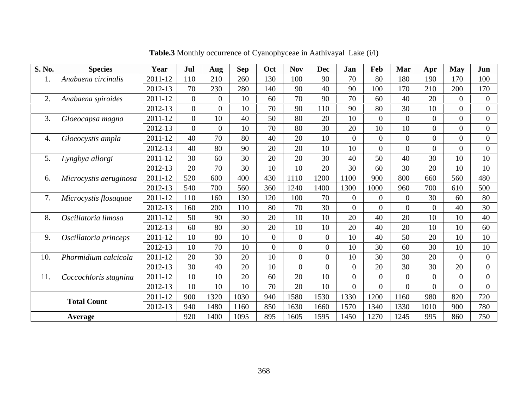| <b>S. No.</b> | <b>Species</b>                | Year        | Jul            | Aug  | Sep  | Oct            | <b>Nov</b> | Dec  | Jan  | Feb  | Mar  | Apr             | May            | Jun |
|---------------|-------------------------------|-------------|----------------|------|------|----------------|------------|------|------|------|------|-----------------|----------------|-----|
|               | Anabaena circinalis           | $2011 - 12$ | 110            | 210  | 260  | 130            | 100        | 90   | 70   | 80   | 180  | 190             | 170            | 100 |
|               |                               | $2012 - 13$ | 70             | 230  | 280  | 140            | 90         | 40   | 90   | 100  |      | 210             | 200            | 170 |
| $\gamma$      | Anabaena spiroides            | 2011-12     | $\theta$       |      | 10   | 60             | 70         | 90   | 70   | 60   | 40   | 20              | $\theta$       |     |
|               |                               | 2012-13     |                |      | 10   | 70             | 90         | 110  | 90   | 80   | 30   | 10              | $\overline{0}$ |     |
| 3.            | Gloeocapsa magna              | 2011-12     | $\overline{0}$ | 10   | 40   | 50             | 80         | 20   | 10   |      |      | $\Omega$        | $\overline{0}$ |     |
|               |                               | 2012-13     | $\Omega$       |      | 10   | 70             | 80         | 30   | 20   | 10   | 10   |                 | $\overline{0}$ |     |
|               | 4. Gloeocystis ampla          | 2011-12     | 40             | 70   | 80   | 40             | 20         | 10   |      |      |      | $\Omega$        | $\overline{0}$ |     |
|               |                               | 2012-13     | 40             | 80   | 90   | 20             | 20         | 10   | 10   |      |      |                 | $\overline{0}$ |     |
|               | 5. Lyngbya allorgi            | 2011-12     | 30             | 60   | 30   | 20             | 20         | 30   | 40   | 50   | 40   | 30              | 10             | 10  |
|               |                               | $2012 - 13$ | 20             | 70   | 30   | 1 <sub>0</sub> |            | 20   | 30   | 60   | 30   | 20              | 10             | 10  |
| 6.            | Microcystis aeruginosa        | $2011 - 12$ | 520            | 600  | 400  | 430            | 1110       | 1200 | 1100 | 900  | 800  | 660             | 560            | 480 |
|               |                               | $2012 - 13$ | 540            | 700  | 560  | 360            | 1240       | 1400 | 1300 | 1000 | 960  | 700             | 610            | 500 |
| 7.            | Microcystis flosaquae         | 2011-12     | 110            | 160  | 130  | 120            | 100        | 70   |      |      |      | 30              | 60             | 80  |
|               |                               | $2012 - 13$ | 160            | 200  | 110  | 80             | 70         | 30   |      |      |      |                 | 40             | 30  |
|               | 8. Oscillatoria limosa        | 2011-12     | 50             | 90   | 30   | 20             | 10         | 10   | 20   | 40   | 20   | 1 <sub>0</sub>  | 10             | 40  |
|               |                               | 2012-13     | 60             | 80   | 30   | 20             | 10         | 10   | 20   | 40   | 20   | 10 <sup>1</sup> | 10             | 60  |
|               | 9. Oscillatoria princeps      | 2011-12     | 10             | 80   | 10   |                |            |      | 10   | 40   | 50   | 20              | 10             | 10  |
|               |                               | 2012-13     | 10             | 70   | 10   |                |            |      | 10   | 30   | 61   | 30              | 10             | 10  |
| 10.           | Phormidium calcicola          | $2011 - 12$ | 20             | 30   | 20   | 1 <sub>0</sub> |            | - 6  | 10   | 30   | 30   | 20              | $\overline{0}$ |     |
|               |                               | 2012-13     | 30             | 40   | 20   |                | $\Omega$   |      |      | 20   | 30   | 30              | 20             |     |
| 11.           | $\big $ Coccochloris stagnina | 2011-12     | 10             | 10   | 20   | 60             | 20         | 10   |      |      |      | $\Omega$        | $\overline{0}$ |     |
|               |                               | 2012-13     | 10             | 10   | 10   | 70             | 20         | 10   |      |      |      |                 | $\overline{0}$ |     |
|               |                               | 2011-12     | 900            | 1320 | 1030 | 940            | 1580       | 1530 | 1330 | 1200 | 160  | 980             | 820            | 720 |
|               | <b>Total Count</b>            | $2012 - 13$ | 940            | 1480 | 160  | 850            | 1630       | 1660 | 1570 | 1340 | 1330 | 1010            | 900            | 780 |
|               | Average                       |             | 920            | 1400 | 1095 | 895            | 1605       | 1595 | 1450 | 1270 | 1245 | 995             | 860            | 750 |

**Table.3** Monthly occurrence of Cyanophyceae in Aathivayal Lake (i/l)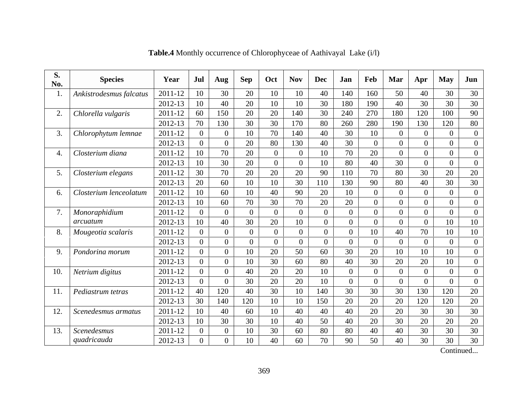| <b>S.</b><br>No. | <b>Species</b>          | Year    | Jul       | Aug            | Sep      | Oct      | <b>Nov</b> | Dec      | Jan      | Feb | Mar            | Apr      |     | May Jun  |
|------------------|-------------------------|---------|-----------|----------------|----------|----------|------------|----------|----------|-----|----------------|----------|-----|----------|
|                  | Ankistrodesmus falcatus | 2011-12 | $10^{-7}$ | 30             | 20       | 10       | 10         | 40       | 140      | 160 | 50             | 40       | 30  | 30       |
|                  |                         | 2012-13 |           | 40             | 20       | 10       |            | 30       | 180      | 190 | 40             | 30       | 30  | 30       |
|                  | 2. Chlorella vulgaris   | 2011-12 |           | 150            | 20       | 20       | 140        | 30       | 240      | 270 | 180            | 120      | 100 | 90       |
|                  |                         | 2012-13 |           | 130            | 30       | 30       | 170        | 80       | 260      | 280 | 190            | 130      | 120 | 80       |
|                  | Chlorophytum lemnae     | 2011-12 |           | $\overline{0}$ |          | 70       | 140        | 40       | 30       | 10  |                | $\Omega$ |     |          |
|                  |                         | 2012-13 |           | $\overline{0}$ | 20       | 80       | 130        | 40       | 30       |     |                | $\Omega$ |     |          |
|                  | Closterium diana        | 2011-12 |           | 70             | 20       | $\Omega$ | $\Omega$   | 10       | 70       | 20  | $\Omega$       | $\Omega$ |     |          |
|                  |                         | 2012-13 | 10        | 30             | 20       |          |            | 10       | 80       | 40  | 30             |          |     |          |
| $\sim$ 5         | Closterium elegans      | 2011-12 | 30        | 70             | 20       | 20       | 20         | 90       | 110      | 70  | 80             | 30       | 20  | 20       |
|                  |                         | 2012-13 | 20        | 60             |          | 10       | 30         | 110      | 130      | 90  | 80             | 40       | 30  | 30       |
|                  | Closterium lenceolatum  | 2011-12 | 10        | 60             |          | 40       | 90         | 20       | 10       |     | $\Omega$       |          |     |          |
|                  |                         | 2012-13 | 10        | 60             | 70       | 30       | 70         | 20       | 20       |     | $\overline{0}$ | $\Omega$ |     |          |
|                  | Monoraphidium           | 2011-12 |           | $\overline{0}$ | $\Omega$ | - 0      | $\Omega$   | $\Omega$ | $\Omega$ |     | $\Omega$       | $\Omega$ |     | $\Omega$ |
|                  | arcuatum                | 2012-13 |           | 40             | 30       | 20       | 10         |          |          |     |                |          | 10  | 10       |
| 8.               | Mougeotia scalaris      | 2011-12 |           | $\overline{0}$ |          | - 0      |            |          |          | 10  | 40             | 70       | 10  | 10       |
|                  |                         | 2012-13 |           | $\overline{0}$ |          | $\Omega$ |            |          |          |     | $\Omega$       | $\Omega$ |     | $\theta$ |
| $\mathbf{Q}$     | Pondorina morum         | 2011-12 |           |                |          | 20       | 50         | 60       | 30       | 20  | 10             | 10       | 10  | $\Omega$ |
|                  |                         | 2012-13 |           | $\overline{0}$ | 10       | 30       | 60         | 80       | 40       | 30  | 20             | 20       | 10  | $\theta$ |
| 10.              | Netrium digitus         | 2011-12 |           | $\Omega$       | 40       | 20       | 20         | 10       |          |     | $\Omega$       | $\Omega$ |     |          |
|                  |                         | 2012-13 |           | $\theta$       | 30       | 20       | 20         | 10       |          |     |                |          |     |          |
| 11.              | Pediastrum tetras       | 2011-12 |           | 120            | 40       | 30       | 10         | 140      | 30       | 30  | 30             | 130      | 120 | 20       |
|                  |                         | 2012-13 | 30        | 140            | 120      | 10       | 10         | 150      | 20       | 20  | 20             | 120      | 120 | 20       |
| 12.              | Scenedesmus armatus     | 2011-12 |           | 40             | 60       | 10       | 40         | 40       | 40       | 20  | 20             | 30       | 30  | 30       |
|                  |                         | 2012-13 |           | 30             | 30       | 10       | 40         | 50       | 40       | 20  | 30             | 20       | 20  | 20       |
| 13.              | Scenedesmus             | 2011-12 |           | $\Omega$       | 10       | 30       | 60         | 80       | 80       | 40  | 40             | 30       | 30  | 30       |
|                  | quadricauda             | 2012-13 |           | $\Omega$       | 10       | 40       | 60         | 70       | 90       | 50  | 40             | 30       | 30  | 30       |

**Table.4** Monthly occurrence of Chlorophyceae of Aathivayal Lake (i/l)

Continued...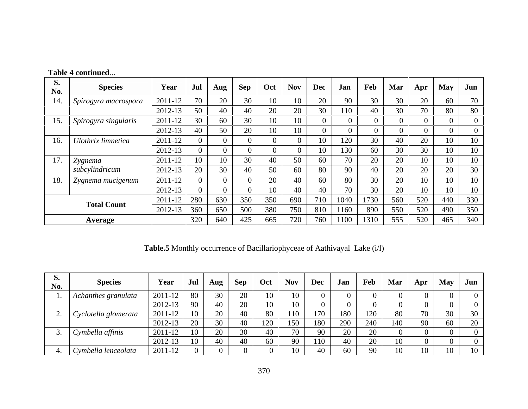| <b>S.</b><br>No. | <b>Species</b>               | Year            | Jul            | Aug | Sep            | Oct | <b>Nov</b> | $\cdot$   Dec | Jan  | Feb            | Mar |                 | $Apr$ May Jun   |                      |
|------------------|------------------------------|-----------------|----------------|-----|----------------|-----|------------|---------------|------|----------------|-----|-----------------|-----------------|----------------------|
|                  | 14. Spirogyra macrospora     | $2011-12$       | $\overline{u}$ | 20  | 30             | 10  |            | 20            | 90   | 30             | 30  | $\bigcap$<br>ZU | 60              | 70                   |
|                  |                              | 2012-13         |                | 40  | 40             | 20  | 20         | 30            | 110  | -40            | 30  | $\sim$          | 80              | 80                   |
|                  | 15. Spirogyra singularis     | $2011-12$       |                | 60  | 3 <sup>0</sup> | 10  |            |               |      |                |     |                 |                 |                      |
|                  |                              | 2012-13         |                | 50  | 20             | 10  |            |               |      |                |     |                 |                 |                      |
| 16.              | <b>Ulothrix limnetica</b>    | $2011-12$       |                |     |                |     |            | 10            | 120  | 3 <sup>0</sup> | 40  |                 | 10              | 10                   |
|                  |                              | 2012-13         |                |     |                |     |            | 10            | 130  | 60             | 30  |                 | 10              | 1 <sub>0</sub><br>10 |
|                  | 17. Zygnema                  | $2011-12$       |                | 10  | $\overline{3}$ | 40  | 50         | 60            | 70   | 20             | 20  |                 | 10              | 10                   |
|                  | subcylindricum               | 2012-13         | $\Delta$       | 30  | 4 <sup>1</sup> | 50  | 60         | 80            | 90   |                | 20  |                 | 20              | 30                   |
|                  | 18. $\int$ Zygnema mucigenum | $2011-12$       |                |     |                | 20  | -4U        | 60            | 80   | 30             | 20  |                 | 10              | 10                   |
|                  |                              | 2012-13         |                |     |                | 10  | 40         | 40            | 70   | 30             | 20  |                 | 10 <sub>1</sub> | 10                   |
|                  |                              | $2011-12$ 280   |                | 630 | 350            | 350 | 690        | 710           | 1040 | 1730           | 560 | 520             | 440             | 330                  |
|                  | <b>Total Count</b>           | $2012 - 13$ 360 |                | 650 | 500            | 380 | 750        | 810           | 1160 | 890            | 550 | 520             | 490             | 350                  |
|                  | Average                      |                 | 320            | 640 | 425            | 665 | 720        | 760           | 1100 | 1310           | 555 | 520             | 465             | 340                  |

# **Table 4 continued**...

**Table.5** Monthly occurrence of Bacillariophyceae of Aathivayal Lake (i/l)

| No. | <b>Species</b>                   | Year        | Jul                              | Aug                    | Sep       | Oct                                       | <b>Nov</b>                     | Dec                      | Jan  | Feb                  | Mar | Apr | May   Jun |     |
|-----|----------------------------------|-------------|----------------------------------|------------------------|-----------|-------------------------------------------|--------------------------------|--------------------------|------|----------------------|-----|-----|-----------|-----|
|     | Achanthes granulata              | 2011-12     | 80                               | $\Omega$<br>JV.        | 20        | 1 <sub>0</sub><br>$\mathbf{1} \mathbf{0}$ | 1 <sub>0</sub><br>$\mathbf{v}$ |                          |      |                      |     |     |           |     |
|     |                                  | $2012 - 13$ | $\Omega$<br>フマ                   | 40                     | 20        | 1 <sub>0</sub><br>1 U                     |                                |                          |      |                      |     |     |           |     |
|     | $\bigcup$ Cyclotella glomerata   | 2011-12     | 1 <sub>0</sub>                   | $\Omega$<br>$\angle U$ | 40        | 80                                        | 110                            |                          | 180- | $1 \cap \cap$<br>-∠⊾ |     |     | 30        |     |
|     |                                  | $2012 - 13$ |                                  | $\Omega$               | $\Lambda$ | 120                                       | 150<br>$\overline{1}$          | 180                      |      | 240                  |     |     | 60        |     |
|     | Cymbella affinis                 | 2011-12     |                                  |                        | 20        | 40                                        |                                |                          |      |                      |     |     |           |     |
|     |                                  | 2012-13     | 1 <sub>0</sub><br>1 <sub>0</sub> | $\Lambda$<br>$+0$      | 40        | 60                                        | ╯                              | 11 <sub>0</sub><br>1 I U |      |                      |     |     |           |     |
|     | $\mathcal{C}$ ymbella lenceolata | 2011-12     |                                  |                        |           |                                           |                                |                          | 60   |                      |     |     | 10        | 10. |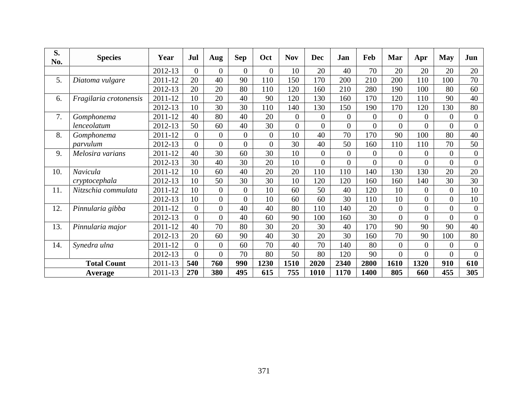| <b>S.</b><br>No. | <b>Species</b>                | Year            | Jul | Aug | Sep          | Oct  | <b>Nov</b>  | Dec  |     | Jan                  | Feb  | Mar         | Apr  | May Jun |     |
|------------------|-------------------------------|-----------------|-----|-----|--------------|------|-------------|------|-----|----------------------|------|-------------|------|---------|-----|
|                  |                               | 2012-13         |     |     |              |      |             |      |     |                      |      |             |      | 20      | 20  |
|                  | Diatoma vulgare               | 2011-12         | 20  | 40  | 90           |      |             |      |     | 200                  | 210  | 200         |      | 100     | 70  |
|                  |                               | 2012-13         | 20  | 20  | 80           |      |             |      | 160 | 210                  | 280  | 190         | 100  | 80      | 60  |
|                  | <i>Fragilaria crotonensis</i> | $2011 - 12$     | 10  | 20  | $40^{\circ}$ |      |             |      | 130 | 160                  | 170  | 120         |      | 90      | 40  |
|                  |                               | 2012-13         | 10  | 30  | 30           |      | 140         |      | 130 | 150                  | 190  | 170         |      | 130     | 80  |
|                  | Gomphonema                    | 2011-12         | 40  | 80  | 40           | 20   |             |      |     |                      |      |             |      |         |     |
|                  | lenceolatum                   | 2012-13         | 50  | 60  | 40           | 30   |             |      |     |                      |      |             |      |         |     |
|                  | Gomphonema                    | 2011-12         | -0  |     |              |      |             |      | 40  | 70                   | 170  | 90          | IOC. | 80      | 40  |
|                  | parvulum                      | 2012-13         |     |     |              |      |             |      |     | 50                   | 160  | 110         |      | 70      | 50  |
|                  | Melosira varians              | 2011-12         | 40  | 30  | 60           |      |             |      |     |                      |      |             |      |         |     |
|                  |                               | 2012-13         | 30  | 40  | 30           | 20   |             |      |     |                      |      |             |      |         |     |
| 10.              | Navicula                      | $2011 - 12$     | 10  | 60  | $40^{\circ}$ | 20   |             |      |     |                      | 140  |             |      | 20      | 20  |
|                  | cryptocephala                 | 2012-13         | 10  | 50  | 30           |      |             |      |     |                      | 160  |             |      | 30      | 30  |
| <b>11</b>        | Nitzschia commulata           | 2011-12         | 10  |     |              |      |             |      |     | 40                   | 120  |             |      |         | 10  |
|                  |                               | 2012-13         | 10  |     |              |      |             |      |     | 30                   | 110  | 10          |      |         | 10  |
| 12.              | Pinnularia gibba              | $2011 - 12$     |     |     | 40           |      |             |      |     | 140                  |      |             |      |         |     |
|                  |                               | 2012-13         |     |     |              |      |             |      |     |                      | 30   |             |      |         |     |
| 13.              | Pinnularia major              | 2011-12         | 40  | 70  | 80           |      |             |      |     |                      |      | Q()         |      | 90      | 40  |
|                  |                               | 2012-13         | 20  | 60  | 90           |      |             |      | 20  | 30                   | 160  | 70          |      | 100     | 80  |
| 14.              | Synedra ulna                  | 2011-12         |     |     | 60           |      |             |      | 70  | 140                  | -80  |             |      |         |     |
|                  |                               | 2012-13         |     |     | 70           |      |             |      |     |                      | -90  |             |      |         |     |
|                  | <b>Total Count</b>            | 2011-13         | 540 | 760 | 990          | 1230 | <b>1510</b> | 2020 |     | 2340                 | 2800 | <b>1610</b> | 1320 | 910     | 610 |
|                  | <b>Average</b>                | $2011-13$   270 |     | 380 | 495          | 615  | 755         |      |     | $1010$   1170   1400 |      | 805         | 660  | 455     | 305 |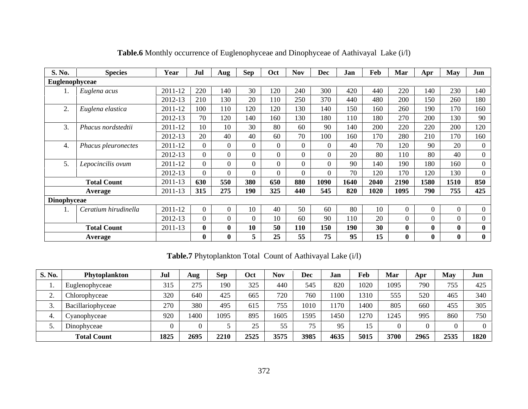| <b>S. No.</b><br><b>Species</b> | Year        | Jul          | Aug | Sep             | Oct | <b>Nov</b> | Dec  | Jan          | Feb             | Mar      | Apr | <b>May</b> | Jun |
|---------------------------------|-------------|--------------|-----|-----------------|-----|------------|------|--------------|-----------------|----------|-----|------------|-----|
| Euglenophyceae                  |             |              |     |                 |     |            |      |              |                 |          |     |            |     |
| Euglena acus                    | 2011-12     | 220          | 140 | $\overline{20}$ | 120 | 240        | 300  | 420          | 440             | 220      | 140 | 230        | 140 |
|                                 | 2012-13     | 210          | 130 | $\mathbf{A}$    |     | 250        | 370  | 440          | 480             | 200      | 150 | 260        | 180 |
| Euglena elastica                | 2011-12     | 100          | 110 | 120             | 120 | 130        | 140  | 150          | 160             | 260      | 190 | 170        | 160 |
|                                 | 2012-13     |              | 120 | 140             | 160 | 130        | 180  | 110          | 180             | 270      | 200 | 130        | 90  |
| Phacus nordstedtii              | 2011-12     | 1 $\cap$     |     |                 | 80  | 60         | -90  | 140          | 200             | 220      | 220 | 200        | 120 |
|                                 | 2012-13     | $20^{\circ}$ | 40  | $\sqrt{ }$      | 60  | 70         | 100  | 160          | 170             | 280      | 210 | 170        | 160 |
| Phacus pleuronectes             | 2011-12     |              |     |                 |     |            |      | 40           | 70              | 120      | 90  | 20         |     |
|                                 | 2012-13     |              |     |                 |     |            |      | $20^{\circ}$ | 80              | 110      | 80  | 40         |     |
| 5. Lepocincilis ovum            | 2011-12     |              |     |                 |     |            |      | 90           | 140             | 190      | 180 | 160        |     |
|                                 | 2012-13     |              |     |                 |     |            |      | 70           | 120             | 170      | 120 | 130        |     |
| <b>Total Count</b>              | $2011 - 13$ | 630          | 550 | 380             | 650 | 880        | 1090 | 1640         | 2040            | 2190     | 580 | 1510       | 850 |
| <b>Average</b>                  | $2011-13$   | 315          | 275 | 190             | 325 | 440        | 545  | 820          | 1020            | 1095     | 790 | 755        | 425 |
| Dinophyceae                     |             |              |     |                 |     |            |      |              |                 |          |     |            |     |
| Ceratium hirudinella            | 2011-12     |              |     | 10              | 40  | 50         | 60   | 80           | 10 <sup>1</sup> | $\Omega$ |     |            |     |
|                                 | 2012-13     |              |     |                 | 10  | 60         | -90  | 110          | 20              |          |     |            |     |
| <b>Total Count</b>              | 2011-13     |              |     | 10              | 50  | <b>110</b> | 150  | 190          | 30              |          |     |            |     |
| <b>Average</b>                  |             |              |     |                 | 25  | 55         | 75   | 95           | 15              |          |     |            |     |

**Table.6** Monthly occurrence of Euglenophyceae and Dinophyceae of Aathivayal Lake (i/l)

**Table.7** Phytoplankton Total Count of Aathivayal Lake (i/l)

| <b>S. No.</b> | Phytoplankton      | Jul  | Aug  | <b>Sep</b>         | Oct  | <b>Nov</b> | Dec  | Jan              | Feb  | Mar  | Apr  | <b>May</b> | Jun  |
|---------------|--------------------|------|------|--------------------|------|------------|------|------------------|------|------|------|------------|------|
|               | Euglenophyceae     | 315  | 275  | 190                | 325  | 440        | 545  | 820              | 1020 | 1095 | 790  | 755        | 425  |
|               | Chlorophyceae      | 320  | 640  |                    | 665  | 720        | 760  | 100              | 1310 | 555  | 520  | 465        | 340  |
|               | Bacillariophyceae  | 270  | 380  | $\Lambda$ $\Omega$ | 615  | 755 L      | 1010 | 170 <sub>1</sub> | 1400 | 805  | 660  | 455        | 305  |
|               | Cyanophyceae       | 920  | 1400 | 1095               | 895  | 1605       | 1595 | 1450             | 1270 | 1245 | 995  | 860        | 750  |
|               | Dinophyceae        |      |      |                    |      | 55         |      | ΩC               | 15   |      |      |            |      |
|               | <b>Total Count</b> | 1825 | 2695 | 2210               | 2525 | 3575       | 3985 | 4635             | 5015 | 3700 | 2965 | 2535       | 1820 |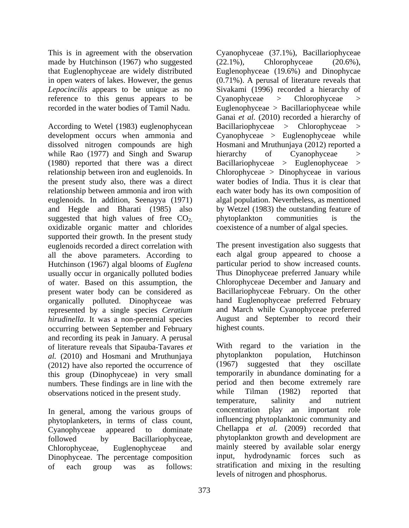made by Hutchinson (1967) who suggested  $(22.1\%)$ , Chlorophyceae  $(20.6\%)$ , reference to this genus appears to be Cyanophyceae > Chlorophyceae

According to Wetel (1983) euglenophycean while Rao (1977) and Singh and Swarup hierarchy of Cyanophyceae > (1980) reported that there was a direct the present study also, there was a direct suggested that high values of free  $CO<sub>2</sub>$ , phytoplankton communities is the oxidizable organic matter and chlorides supported their growth. In the present study euglenoids recorded a direct correlation with all the above parameters. According to Hutchinson (1967) algal blooms of *Euglena* usually occur in organically polluted bodies of water. Based on this assumption, the present water body can be considered as organically polluted. Dinophyceae was represented by a single species *Ceratium hirudinella*. It was a non-perennial species occurring between September and February and recording its peak in January. A perusal of literature reveals that Sipauba-Tavares *et* With regard to the variation in the *al.* (2010) and Hosmani and Mruthuniava phytoplankton population, Hutchinson *al.* (2010) and Hosmani and Mruthunjaya bytoplankton population, Hutchinson (2012) have also reported the occurrence of (1967) suggested that they oscillate (2012) have also reported the occurrence of this group (Dinophyceae) in very small numbers. These findings are in line with the period and then become extremely rare<br>observations noticed in the present study while Tilman (1982) reported that

phytoplanketers, in terms of class count, Dinophyceae. The percentage composition input, hydrodynamic forces such as

This is in agreement with the observation Cyanophyceae (37.1%), Bacillariophyceae that Euglenophyceae are widely distributed Euglenophyceae (19.6%) and Dinophycae in open waters of lakes. However, the genus (0.71%). A perusal of literature reveals that *Lepocincilis* appears to be unique as no Sivakami (1996) recorded a hierarchy of recorded in the water bodies of Tamil Nadu. Euglenophyceae > Bacillariophyceae while development occurs when ammonia and Cyanophyceae > Euglenophyceae while dissolved nitrogen compounds are high Hosmani and Mruthunjaya (2012) reported a relationship between iron and euglenoids. In Chlorophyceae > Dinophyceae in various relationship between ammonia and iron with each water body has its own composition of euglenoids. In addition, Seenayya (1971) algal population. Nevertheless, as mentioned and Hegde and Bharati (1985) also by Wetzel (1983) the outstanding feature of (22.1%), Chlorophyceae (20.6%), Cyanophyceae > Chlorophyceae > Ganai *et al.* (2010) recorded a hierarchy of Bacillariophyceae > Chlorophyceae hierarchy of Cyanophyceae > Bacillariophyceae > Euglenophyceae water bodies of India. Thus it is clear that phytoplankton communities is the coexistence of a number of algal species.

> The present investigation also suggests that each algal group appeared to choose a particular period to show increased counts. Thus Dinophyceae preferred January while Chlorophyceae December and January and Bacillariophyceae February. On the other hand Euglenophyceae preferred February and March while Cyanophyceae preferred August and September to record their highest counts.

observations noticed in the present study. While Tilman (1982) reported that temperature, salinity and nutrient In general, among the various groups of concentration play an important role Cyanophyceae appeared to dominate Chellappa *et al.* (2009) recorded that followed by Bacillariophyceae, phytoplankton growth and development are Chlorophyceae, Euglenophyceae and mainly steered by available solar energy of each group was as follows: stratification and mixing in the resulting With regard to the variation in the phytoplankton population, Hutchinson (1967) suggested that they oscillate temporarily in abundance dominating for a period and then become extremely rare while Tilman (1982) reported that temperature, salinity and nutrient concentration play an important role influencing phytoplanktonic community and hydrodynamic forces such levels of nitrogen and phosphorus.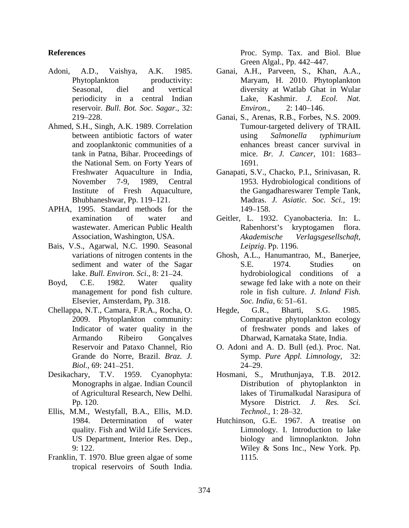- Adoni, A.D., Vaishya, A.K. 1985. Ganai, A.H., Parveen, S., Khan, A.A., reservoir. *Bull. Bot. Soc. Sagar*., 32:
- Ahmed, S.H., Singh, A.K. 1989. Correlation and zooplanktonic communities of a the National Sem. on Forty Years of
- APHA, 1995. Standard methods for the 149–158.
- Bais, V.S., Agarwal, N.C. 1990. Seasonal
- 
- 
- Desikachary, T.V. 1959. Cyanophyta: of Agricultural Research, New Delhi.
- Ellis, M.M., Westyfall, B.A., Ellis, M.D. *Technol.*, 1: 28–32.
- Franklin, T. 1970. Blue green algae of some tropical reservoirs of South India.

**References** Proc. Symp. Tax. and Biol. Blue Green Algal., Pp. 442–447.

- Phytoplankton productivity: Maryam, H. 2010. Phytoplankton Seasonal, diel and vertical diversity at Watlab Ghat in Wular periodicity in a central Indian Make, Kashmir. J. Ecol. Nat. Lake, Kashmir. *J. Ecol. Nat. Environ.,* 2: 140–146.
- 219 228. Ganai, S., Arenas, R.B., Forbes, N.S. 2009. between antibiotic factors of water  $using$  salmonella *typhimurium* tank in Patna, Bihar. Proceedings of mice. *Br. J. Cancer,* 101: 1683 Tumour-targeted delivery of TRAIL using *Salmonella typhimurium* enhances breast cancer survival in 1691.
- Freshwater Aquaculture in India, Ganapati, S.V., Chacko, P.I., Srinivasan, R.<br>November 7-9, 1989, Central 1953. Hydrobiological conditions of Institute of Fresh Aquaculture, the Gangadhareswarer Temple Tank, Bhubhaneshwar, Pp. 119 121. Madras. *J. Asiatic. Soc. Sci.,* 19: Ganapati, S.V., Chacko, P.I., Srinivasan, R. 1953. Hydrobiological conditions of 149–158.
- examination of water and Geitler, L. 1932. Cyanobacteria. In: L. wastewater. American Public Health **Rabenhorst's** kryptogamen flora. Association, Washington, USA. Akademische Verlagsgesellschaft, Rabenhorst's kryptogamen flora. *Akademische Verlagsgesellschaft, Leipzig*. Pp. 1196.
- variations of nitrogen contents in the Ghosh, A.L., Hanumantrao, M., Banerjee, sediment and water of the Sagar S.E. 1974. Studies on lake. *Bull. Environ. Sci.*, 8: 21–24. hydrobiological conditions of a Boyd, C.E. 1982. Water quality sewage fed lake with a note on their management for pond fish culture.<br>
Elsevier, Amsterdam, Pp. 318. Soc. India, 6: 51–61. Ghosh, A.L., Hanumantrao, M., Banerjee,<br>S.E. 1974. Studies on role in fish culture. *J. Inland Fish. Soc. India*, 6: 51–61.
- Chellappa, N.T., Camara, F.R.A., Rocha, O. 2009. Phytoplankton community: Comparative phytoplankton ecology Indicator of water quality in the of freshwater ponds and lakes of Armando Ribeiro Gonçalves Dharwad, Karnataka State, India. Hegde, G.R., Bharti, S.G. 1985.
	- Reservoir and Pataxo Channel, Rio O. Adoni and A. D. Bull (ed.). Proc. Nat. Grande do Norre, Brazil. *Braz. J.* Symp. *Pure Appl. Limnology*, 32: *Biol.*, 69: 241–251. 24–29. Symp. *Pure Appl. Limnology*, 32: 24 29.
	- Monographs in algae. Indian Council Distribution of phytoplankton in Pp. 120. Mysore District. J. Res. Sci. Hosmani, S., Mruthunjaya, T.B. 2012. lakes of Tirumalkudal Narasipura of Mysore District. *J. Res. Sci. Technol.,* 1: 28–32.
	- 1984. Determination of water Hutchinson, G.E.1967. A treatise on quality. Fish and Wild Life Services. <br>
	US Department, Interior Res. Dep., biology and limnoplankton. John 9: 122.  $\bullet$  Wiley & Sons Inc., New York. Pp. Limnology. I. Introduction to lake biology and limnoplankton. John Wiley & Sons Inc., New York. Pp. 1115.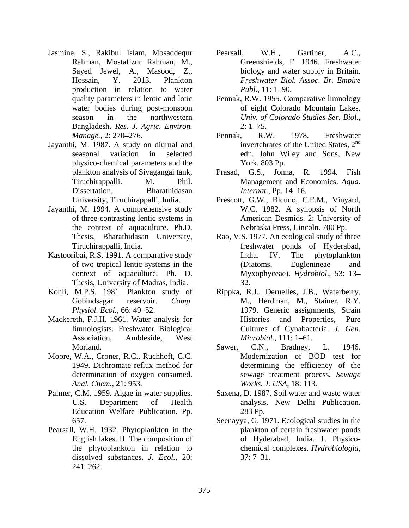- Jasmine, S., Rakibul Islam, Mosaddequr Pearsall, W.H., Gartiner, A.C., Rahman, Mostafizur Rahman, M., production in relation to water *Publ.* 11: 1–90. Bangladesh. *Res. J. Agric. Environ.*
- Jayanthi, M. 1987. A study on diurnal and physico-chemical parameters and the
- Jayanthi, M. 1994. A comprehensive study the context of aquaculture. Ph.D.
- Thesis, University of Madras, India.
- 
- Association, Ambleside, West *Microbiol.*, 111: 1–61.
- 
- Palmer, C.M. 1959*.* Algae in water supplies. Education Welfare Publication. Pp.
- Pearsall, W.H. 1932. Phytoplankton in the dissolved substances. *J. Ecol.,* 20: 241 262.
- Sayed Jewel, A., Masood, Z., biology and water supply in Britain. Hossain, Y. 2013. Plankton *Freshwater Biol. Assoc. Br. Empire* Pearsall, W.H., Gartiner, A.C., Greenshields, F. 1946. Freshwater *Publ.,* 11: 1–90.
- quality parameters in lentic and lotic Pennak, R.W. 1955. Comparative limnology water bodies during post-monsoon of eight Colorado Mountain Lakes. season in the northwestern *Univ. of Colorado Studies Ser. Biol.*, *Univ. of Colorado Studies Ser. Biol*., 2: 1 75.
- *Manage.*, 2: 270–276. **Pennak, R.W. 1978.** Freshwater seasonal variation in selected edn. John Wiley and Sons, New Pennak, R.W. 1978. Freshwater invertebrates of the United States, 2nd edn. John Wiley and Sons, New York. 803 Pp.
- plankton analysis of Sivagangai tank, Prasad, G.S., Jonna, R. 1994. Fish Tiruchirappalli. M. Phil. Management and Economics. *Aqua.*  Dissertation, Bharathidasan *Internat.*, Pp. 14–16. Prasad, G.S., Jonna, R. *Internat., Pp. 14–16.*
- University, Tiruchirappalli, India. Prescott, G.W., Bicudo, C.E.M., Vinyard, of three contrasting lentic systems in American Desmids. 2: University of W.C. 1982. A synopsis of North Nebraska Press, Lincoln. 700 Pp.
- Thesis, Bharathidasan University, Rao, V.S. 1977. An ecological study of three Tiruchirappalli, India. freshwater ponds of Hyderabad, Kastooribai, R.S. 1991. A comparative study hadia. IV. The phytoplankton of two tropical lentic systems in the context of aquaculture. Ph. D. Myxophyceae). *Hydrobiol*., 53: 13 India. IV. The phytoplankton (Diatoms, Euglenineae and 32.
- Kohli, M.P.S. 1981. Plankton study of Rippka, R.J., Deruelles, J.B., Waterberry, Gobindsagar reservoir. *Comp.*  M., Herdman, M., Stainer, R.Y. *Physiol. Ecol.*, 66: 49–52. 1979. Generic assignments, Strain Mackereth, F.J.H. 1961. Water analysis for limnologists. Freshwater Biological Cultures of Cynabacteria. *J. Gen.* Histories and Properties, *Microbiol.,* 111: 1–61.
- Morland. Sawer, C.N., Bradney, L. 1946. Moore, W.A., Croner, R.C., Ruchhoft, C.C. Modernization of BOD test for 1949. Dichromate reflux method for determining the efficiency of the determination of oxygen consumed. sewage treatment process. *Sewage Anal. Chem.,* 21: 953. *Works. J. USA,* 18: 113. Sawer, C.N., Bradney, L. 1946. Modernization of BOD test for
	- U.S. Department of Health analysis. New Delhi Publication. Saxena, D. 1987. Soil water and waste water 283 Pp.
	- 657. Seenayya, G. 1971. Ecological studies in the English lakes. II. The composition of of Hyderabad, India. 1. Physico the phytoplankton in relation to chemical complexes. *Hydrobiologia,* plankton of certain freshwater ponds  $37: 7 - 31.$